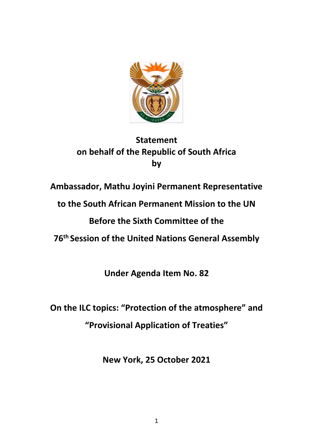

# **Statement on behalf of the Republic of South Africa by**

**Ambassador, Mathu Joyini Permanent Representative** 

**to the South African Permanent Mission to the UN**

**Before the Sixth Committee of the**

**76th Session of the United Nations General Assembly**

**Under Agenda Item No. 82**

**On the ILC topics: "Protection of the atmosphere" and "Provisional Application of Treaties"** 

**New York, 25 October 2021**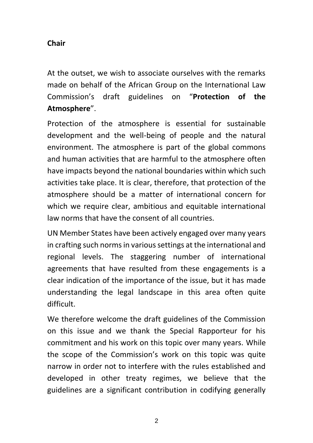## **Chair**

At the outset, we wish to associate ourselves with the remarks made on behalf of the African Group on the International Law Commission's draft guidelines on "**Protection of the Atmosphere**".

Protection of the atmosphere is essential for sustainable development and the well-being of people and the natural environment. The atmosphere is part of the global commons and human activities that are harmful to the atmosphere often have impacts beyond the national boundaries within which such activities take place. It is clear, therefore, that protection of the atmosphere should be a matter of international concern for which we require clear, ambitious and equitable international law norms that have the consent of all countries.

UN Member States have been actively engaged over many years in crafting such norms in various settings at the international and regional levels. The staggering number of international agreements that have resulted from these engagements is a clear indication of the importance of the issue, but it has made understanding the legal landscape in this area often quite difficult.

We therefore welcome the draft guidelines of the Commission on this issue and we thank the Special Rapporteur for his commitment and his work on this topic over many years. While the scope of the Commission's work on this topic was quite narrow in order not to interfere with the rules established and developed in other treaty regimes, we believe that the guidelines are a significant contribution in codifying generally

2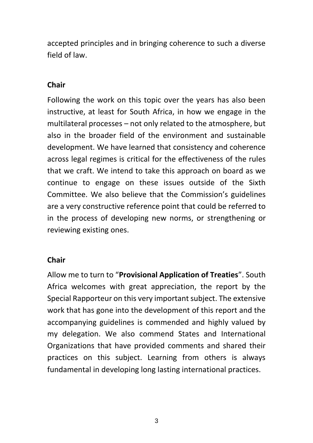accepted principles and in bringing coherence to such a diverse field of law.

## **Chair**

Following the work on this topic over the years has also been instructive, at least for South Africa, in how we engage in the multilateral processes – not only related to the atmosphere, but also in the broader field of the environment and sustainable development. We have learned that consistency and coherence across legal regimes is critical for the effectiveness of the rules that we craft. We intend to take this approach on board as we continue to engage on these issues outside of the Sixth Committee. We also believe that the Commission's guidelines are a very constructive reference point that could be referred to in the process of developing new norms, or strengthening or reviewing existing ones.

#### **Chair**

Allow me to turn to "**Provisional Application of Treaties**". South Africa welcomes with great appreciation, the report by the Special Rapporteur on this very important subject. The extensive work that has gone into the development of this report and the accompanying guidelines is commended and highly valued by my delegation. We also commend States and International Organizations that have provided comments and shared their practices on this subject. Learning from others is always fundamental in developing long lasting international practices.